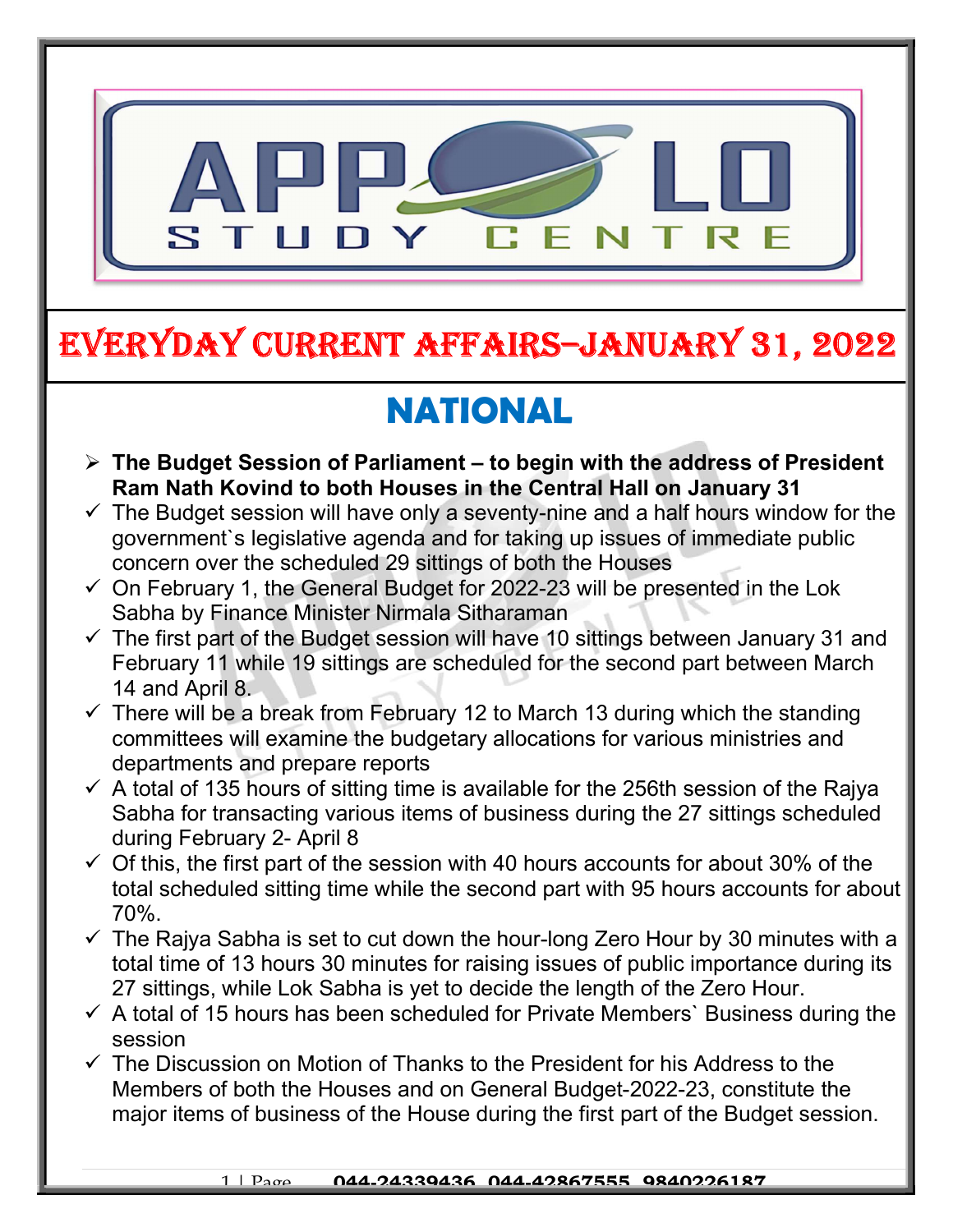

## EVERYDAY CURRENT AFFAIRS–JANUARY 31, 2022

# NATIONAL

-

- $\triangleright$  The Budget Session of Parliament to begin with the address of President Ram Nath Kovind to both Houses in the Central Hall on January 31
- $\checkmark$  The Budget session will have only a seventy-nine and a half hours window for the government`s legislative agenda and for taking up issues of immediate public concern over the scheduled 29 sittings of both the Houses
- $\checkmark$  On February 1, the General Budget for 2022-23 will be presented in the Lok Sabha by Finance Minister Nirmala Sitharaman
- $\checkmark$  The first part of the Budget session will have 10 sittings between January 31 and February 11 while 19 sittings are scheduled for the second part between March 14 and April 8.
- $\checkmark$  There will be a break from February 12 to March 13 during which the standing committees will examine the budgetary allocations for various ministries and departments and prepare reports
- $\checkmark$  A total of 135 hours of sitting time is available for the 256th session of the Rajya Sabha for transacting various items of business during the 27 sittings scheduled during February 2- April 8
- $\checkmark$  Of this, the first part of the session with 40 hours accounts for about 30% of the total scheduled sitting time while the second part with 95 hours accounts for about 70%.
- $\checkmark$  The Rajya Sabha is set to cut down the hour-long Zero Hour by 30 minutes with a total time of 13 hours 30 minutes for raising issues of public importance during its 27 sittings, while Lok Sabha is yet to decide the length of the Zero Hour.
- $\checkmark$  A total of 15 hours has been scheduled for Private Members' Business during the session
- $\checkmark$  The Discussion on Motion of Thanks to the President for his Address to the Members of both the Houses and on General Budget-2022-23, constitute the major items of business of the House during the first part of the Budget session.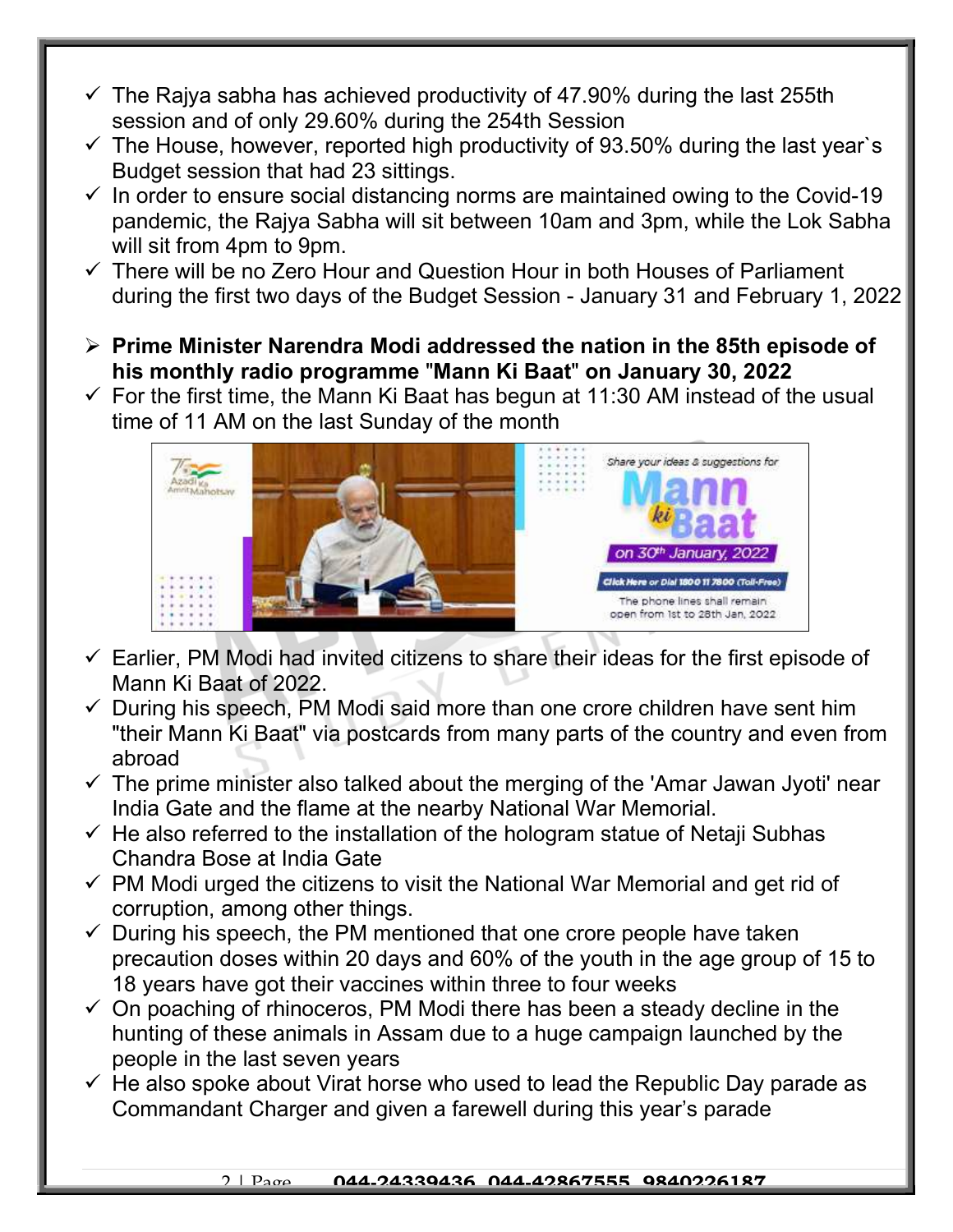- $\checkmark$  The Rajya sabha has achieved productivity of 47.90% during the last 255th session and of only 29.60% during the 254th Session
- $\checkmark$  The House, however, reported high productivity of 93.50% during the last year's Budget session that had 23 sittings.
- $\checkmark$  In order to ensure social distancing norms are maintained owing to the Covid-19 pandemic, the Rajya Sabha will sit between 10am and 3pm, while the Lok Sabha will sit from 4pm to 9pm.
- $\checkmark$  There will be no Zero Hour and Question Hour in both Houses of Parliament during the first two days of the Budget Session - January 31 and February 1, 2022
- $\triangleright$  Prime Minister Narendra Modi addressed the nation in the 85th episode of his monthly radio programme "Mann Ki Baat" on January 30, 2022
- $\checkmark$  For the first time, the Mann Ki Baat has begun at 11:30 AM instead of the usual time of 11 AM on the last Sunday of the month



- $\checkmark$  Earlier, PM Modi had invited citizens to share their ideas for the first episode of Mann Ki Baat of 2022.
- $\checkmark$  During his speech, PM Modi said more than one crore children have sent him "their Mann Ki Baat" via postcards from many parts of the country and even from abroad
- $\checkmark$  The prime minister also talked about the merging of the 'Amar Jawan Jyoti' near India Gate and the flame at the nearby National War Memorial.
- $\checkmark$  He also referred to the installation of the hologram statue of Netaji Subhas Chandra Bose at India Gate
- $\checkmark$  PM Modi urged the citizens to visit the National War Memorial and get rid of corruption, among other things.
- $\checkmark$  During his speech, the PM mentioned that one crore people have taken precaution doses within 20 days and 60% of the youth in the age group of 15 to 18 years have got their vaccines within three to four weeks
- $\checkmark$  On poaching of rhinoceros, PM Modi there has been a steady decline in the hunting of these animals in Assam due to a huge campaign launched by the people in the last seven years
- $\checkmark$  He also spoke about Virat horse who used to lead the Republic Day parade as Commandant Charger and given a farewell during this year's parade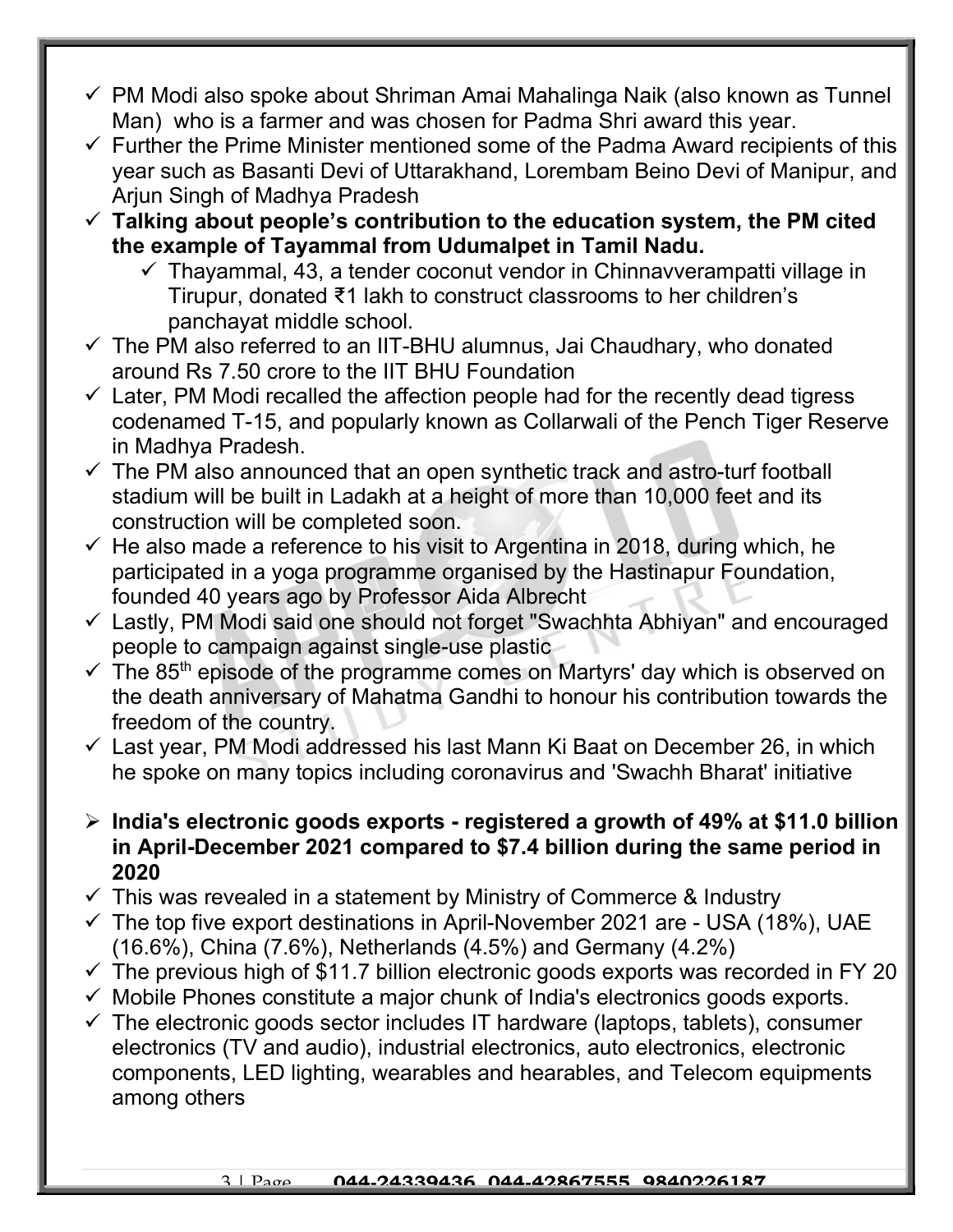- $\checkmark$  PM Modi also spoke about Shriman Amai Mahalinga Naik (also known as Tunnel Man) who is a farmer and was chosen for Padma Shri award this year.
- $\checkmark$  Further the Prime Minister mentioned some of the Padma Award recipients of this year such as Basanti Devi of Uttarakhand, Lorembam Beino Devi of Manipur, and Arjun Singh of Madhya Pradesh
- $\checkmark$  Talking about people's contribution to the education system, the PM cited the example of Tayammal from Udumalpet in Tamil Nadu.
	- $\checkmark$  Thayammal, 43, a tender coconut vendor in Chinnavverampatti village in Tirupur, donated ₹1 lakh to construct classrooms to her children's panchayat middle school.
- $\checkmark$  The PM also referred to an IIT-BHU alumnus, Jai Chaudhary, who donated around Rs 7.50 crore to the IIT BHU Foundation
- $\checkmark$  Later, PM Modi recalled the affection people had for the recently dead tigress codenamed T-15, and popularly known as Collarwali of the Pench Tiger Reserve in Madhya Pradesh.
- $\checkmark$  The PM also announced that an open synthetic track and astro-turf football stadium will be built in Ladakh at a height of more than 10,000 feet and its construction will be completed soon.
- $\checkmark$  He also made a reference to his visit to Argentina in 2018, during which, he participated in a yoga programme organised by the Hastinapur Foundation, founded 40 years ago by Professor Aida Albrecht
- Lastly, PM Modi said one should not forget "Swachhta Abhiyan" and encouraged people to campaign against single-use plastic
- $\checkmark$  The 85<sup>th</sup> episode of the programme comes on Martyrs' day which is observed on the death anniversary of Mahatma Gandhi to honour his contribution towards the freedom of the country.
- $\checkmark$  Last year, PM Modi addressed his last Mann Ki Baat on December 26, in which he spoke on many topics including coronavirus and 'Swachh Bharat' initiative
- $\triangleright$  India's electronic goods exports registered a growth of 49% at \$11.0 billion in April-December 2021 compared to \$7.4 billion during the same period in 2020
- $\checkmark$  This was revealed in a statement by Ministry of Commerce & Industry
- $\checkmark$  The top five export destinations in April-November 2021 are USA (18%), UAE (16.6%), China (7.6%), Netherlands (4.5%) and Germany (4.2%)
- $\checkmark$  The previous high of \$11.7 billion electronic goods exports was recorded in FY 20
- $\checkmark$  Mobile Phones constitute a major chunk of India's electronics goods exports.
- $\checkmark$  The electronic goods sector includes IT hardware (laptops, tablets), consumer electronics (TV and audio), industrial electronics, auto electronics, electronic components, LED lighting, wearables and hearables, and Telecom equipments among others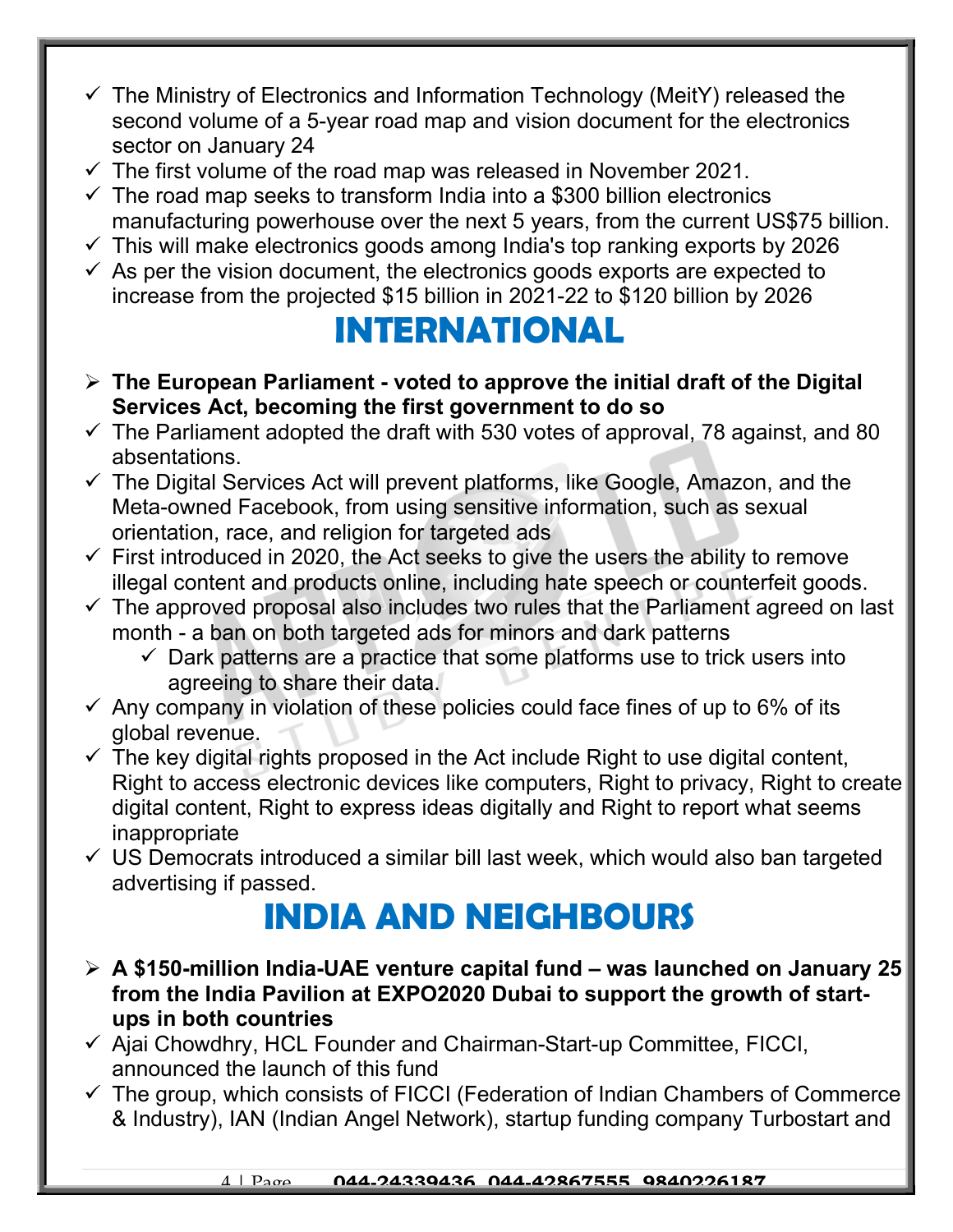- $\checkmark$  The Ministry of Electronics and Information Technology (MeitY) released the second volume of a 5-year road map and vision document for the electronics sector on January 24
- $\checkmark$  The first volume of the road map was released in November 2021.
- $\checkmark$  The road map seeks to transform India into a \$300 billion electronics manufacturing powerhouse over the next 5 years, from the current US\$75 billion.
- $\checkmark$  This will make electronics goods among India's top ranking exports by 2026
- $\checkmark$  As per the vision document, the electronics goods exports are expected to increase from the projected \$15 billion in 2021-22 to \$120 billion by 2026

## INTERNATIONAL

- $\triangleright$  The European Parliament voted to approve the initial draft of the Digital Services Act, becoming the first government to do so
- $\checkmark$  The Parliament adopted the draft with 530 votes of approval, 78 against, and 80 absentations.
- $\checkmark$  The Digital Services Act will prevent platforms, like Google, Amazon, and the Meta-owned Facebook, from using sensitive information, such as sexual orientation, race, and religion for targeted ads
- $\checkmark$  First introduced in 2020, the Act seeks to give the users the ability to remove illegal content and products online, including hate speech or counterfeit goods.
- $\checkmark$  The approved proposal also includes two rules that the Parliament agreed on last month - a ban on both targeted ads for minors and dark patterns
	- $\checkmark$  Dark patterns are a practice that some platforms use to trick users into agreeing to share their data.
- $\checkmark$  Any company in violation of these policies could face fines of up to 6% of its global revenue.
- $\checkmark$  The key digital rights proposed in the Act include Right to use digital content, Right to access electronic devices like computers, Right to privacy, Right to create digital content, Right to express ideas digitally and Right to report what seems inappropriate
- $\checkmark$  US Democrats introduced a similar bill last week, which would also ban targeted advertising if passed.

## INDIA AND NEIGHBOURS

- $\triangleright$  A \$150-million India-UAE venture capital fund was launched on January 25 from the India Pavilion at EXPO2020 Dubai to support the growth of startups in both countries
- $\checkmark$  Ajai Chowdhry, HCL Founder and Chairman-Start-up Committee, FICCI, announced the launch of this fund
- $\checkmark$  The group, which consists of FICCI (Federation of Indian Chambers of Commerce & Industry), IAN (Indian Angel Network), startup funding company Turbostart and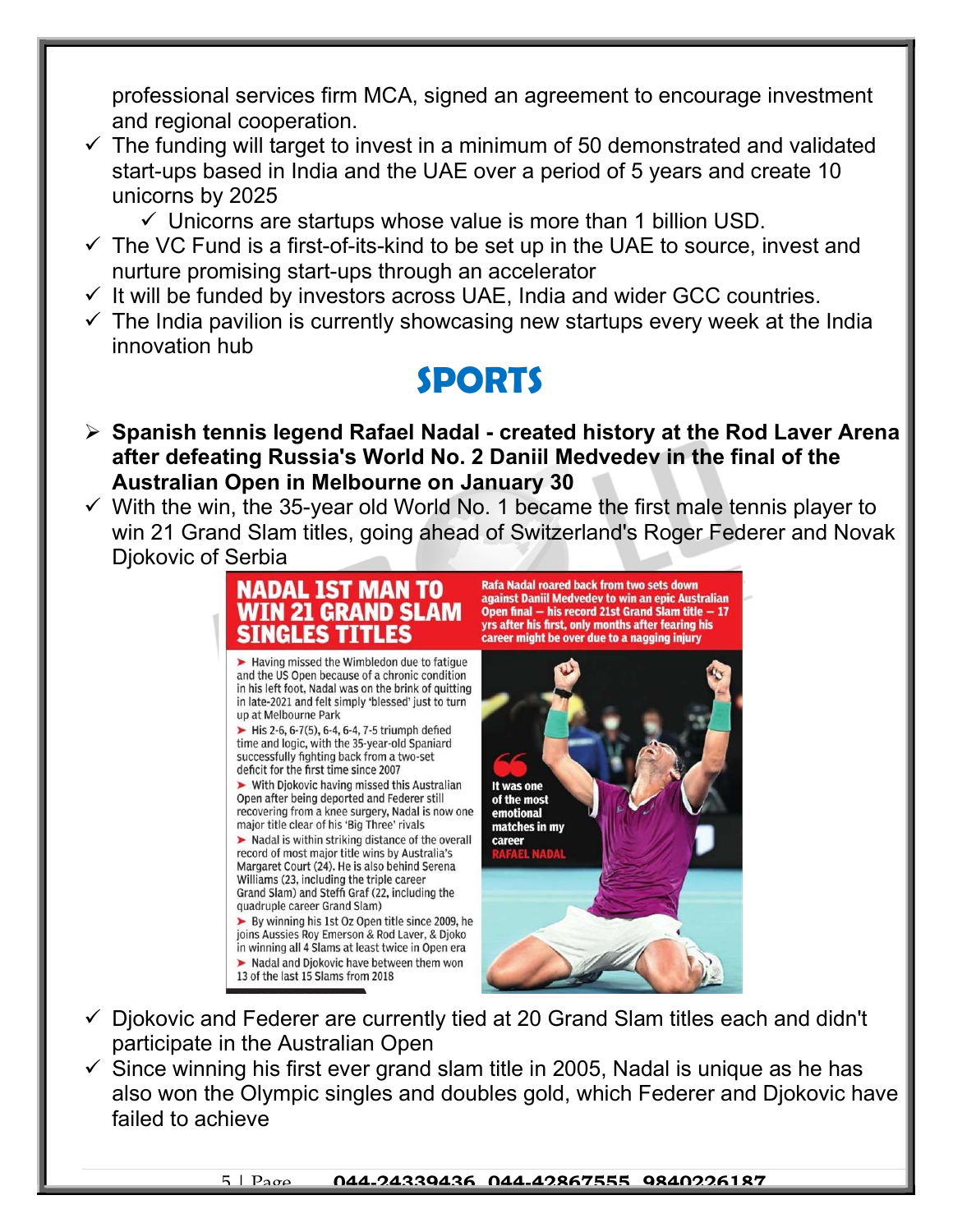professional services firm MCA, signed an agreement to encourage investment and regional cooperation.

- $\checkmark$  The funding will target to invest in a minimum of 50 demonstrated and validated start-ups based in India and the UAE over a period of 5 years and create 10 unicorns by 2025
	- $\checkmark$  Unicorns are startups whose value is more than 1 billion USD.
- $\checkmark$  The VC Fund is a first-of-its-kind to be set up in the UAE to source, invest and nurture promising start-ups through an accelerator
- $\checkmark$  It will be funded by investors across UAE, India and wider GCC countries.
- $\checkmark$  The India pavilion is currently showcasing new startups every week at the India innovation hub

## SPORTS

- $\triangleright$  Spanish tennis legend Rafael Nadal created history at the Rod Laver Arena after defeating Russia's World No. 2 Daniil Medvedev in the final of the Australian Open in Melbourne on January 30
- $\checkmark$  With the win, the 35-year old World No. 1 became the first male tennis player to win 21 Grand Slam titles, going ahead of Switzerland's Roger Federer and Novak Djokovic of Serbia



- $\checkmark$  Djokovic and Federer are currently tied at 20 Grand Slam titles each and didn't participate in the Australian Open
- $\checkmark$  Since winning his first ever grand slam title in 2005, Nadal is unique as he has also won the Olympic singles and doubles gold, which Federer and Djokovic have failed to achieve

#### 5 | Page 044.24339436 044.42867555 9840226187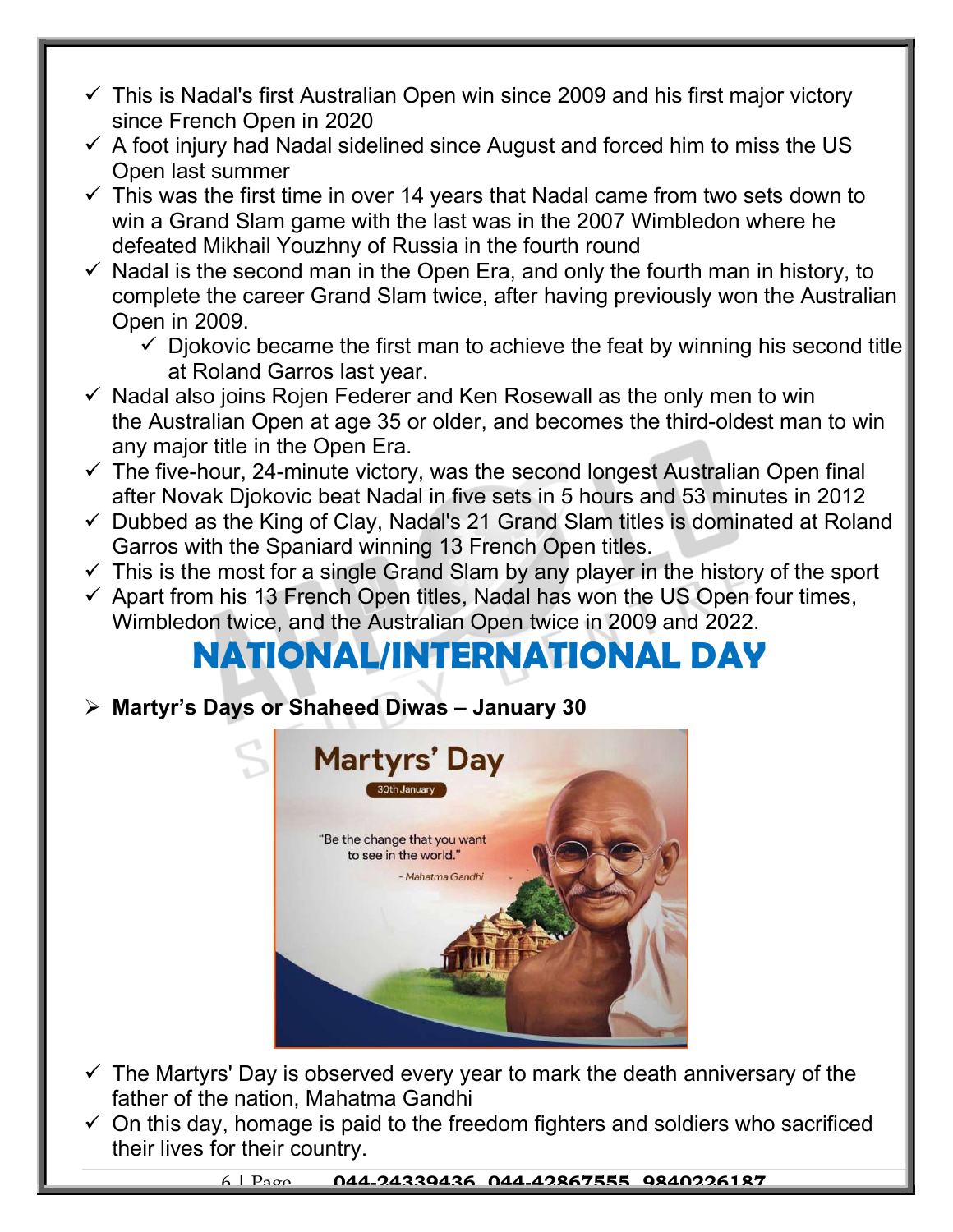- $\checkmark$  This is Nadal's first Australian Open win since 2009 and his first major victory since French Open in 2020
- $\checkmark$  A foot injury had Nadal sidelined since August and forced him to miss the US Open last summer
- $\checkmark$  This was the first time in over 14 years that Nadal came from two sets down to win a Grand Slam game with the last was in the 2007 Wimbledon where he defeated Mikhail Youzhny of Russia in the fourth round
- $\checkmark$  Nadal is the second man in the Open Era, and only the fourth man in history, to complete the career Grand Slam twice, after having previously won the Australian Open in 2009.
	- $\checkmark$  Djokovic became the first man to achieve the feat by winning his second title at Roland Garros last year.
- $\checkmark$  Nadal also joins Rojen Federer and Ken Rosewall as the only men to win the Australian Open at age 35 or older, and becomes the third-oldest man to win any major title in the Open Era.
- $\checkmark$  The five-hour, 24-minute victory, was the second longest Australian Open final after Novak Djokovic beat Nadal in five sets in 5 hours and 53 minutes in 2012
- $\checkmark$  Dubbed as the King of Clay, Nadal's 21 Grand Slam titles is dominated at Roland Garros with the Spaniard winning 13 French Open titles.
- $\checkmark$  This is the most for a single Grand Slam by any player in the history of the sport
- $\checkmark$  Apart from his 13 French Open titles, Nadal has won the US Open four times, Wimbledon twice, and the Australian Open twice in 2009 and 2022.

## NATIONAL/INTERNATIONAL DAY

Martyr's Days or Shaheed Diwas – January 30



- $\checkmark$  The Martyrs' Day is observed every year to mark the death anniversary of the father of the nation, Mahatma Gandhi
- $\checkmark$  On this day, homage is paid to the freedom fighters and soldiers who sacrificed their lives for their country.